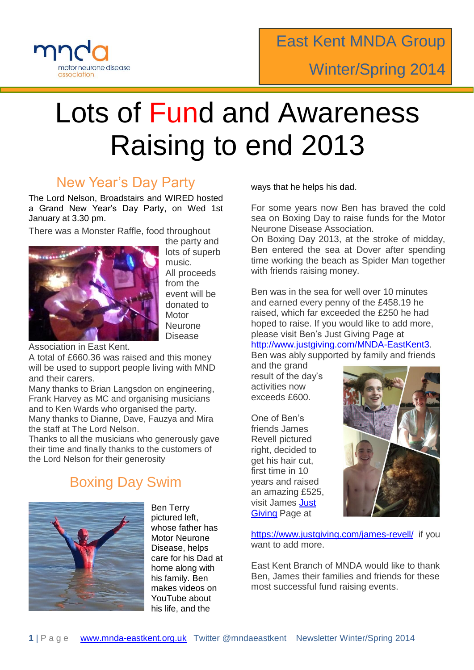

# Lots of Fund and Awareness Raising to end 2013

# New Year's Day Party

The Lord Nelson, Broadstairs and WIRED hosted a Grand New Year's Day Party, on Wed 1st January at 3.30 pm.

There was a Monster Raffle, food throughout



the party and lots of superb music. All proceeds from the event will be donated to **Motor Neurone** Disease

Association in East Kent.

A total of £660.36 was raised and this money will be used to support people living with MND and their carers.

Many thanks to Brian Langsdon on engineering, Frank Harvey as MC and organising musicians and to Ken Wards who organised the party. Many thanks to Dianne, Dave, Fauzya and Mira the staff at The Lord Nelson.

Thanks to all the musicians who generously gave their time and finally thanks to the customers of the Lord Nelson for their generosity

# Boxing Day Swim



Ben Terry pictured left, whose father has Motor Neurone Disease, helps care for his Dad at home along with his family. Ben makes videos on YouTube about his life, and the

ways that he helps his dad.

For some years now Ben has braved the cold sea on Boxing Day to raise funds for the Motor Neurone Disease Association.

On Boxing Day 2013, at the stroke of midday, Ben entered the sea at Dover after spending time working the beach as Spider Man together with friends raising money.

Ben was in the sea for well over 10 minutes and earned every penny of the £458.19 he raised, which far exceeded the £250 he had hoped to raise. If you would like to add more, please visit Ben's Just Giving Page at

[http://www.justgiving.com/MNDA-EastKent3.](http://www.justgiving.com/MNDA-EastKent3)

Ben was ably supported by family and friends

and the grand result of the day's activities now exceeds £600.

One of Ben's friends James Revell pictured right, decided to get his hair cut, first time in 10 years and raised an amazing £525, visit James [Just](https://www.justgiving.com/james-revell/?utm_source=Facebook&utm_medium=fundraisingpage&utm_content=james-revell&utm_campaign=pfp-share-mobile)  [Giving](https://www.justgiving.com/james-revell/?utm_source=Facebook&utm_medium=fundraisingpage&utm_content=james-revell&utm_campaign=pfp-share-mobile) Page at



<https://www.justgiving.com/james-revell/> if you want to add more.

East Kent Branch of MNDA would like to thank Ben, James their families and friends for these most successful fund raising events.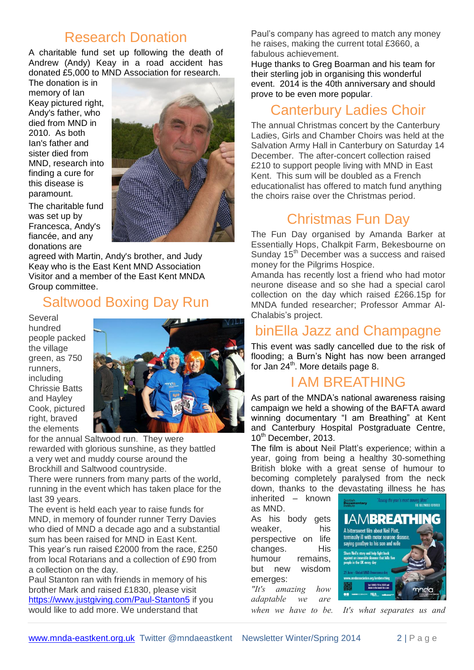#### Research Donation

A charitable fund set up following the death of Andrew (Andy) Keay in a road accident has donated £5,000 to MND Association for research.

The donation is in memory of Ian Keay pictured right, Andy's father, who died from MND in 2010. As both Ian's father and sister died from MND, research into finding a cure for this disease is paramount.

The charitable fund was set up by Francesca, Andy's fiancée, and any donations are



agreed with Martin, Andy's brother, and Judy Keay who is the East Kent MND Association Visitor and a member of the East Kent MNDA Group committee.

#### Saltwood Boxing Day Run

Several hundred people packed the village green, as 750 runners, including Chrissie Batts and Hayley Cook, pictured right, braved the elements



for the annual Saltwood run. They were rewarded with glorious sunshine, as they battled a very wet and muddy course around the Brockhill and Saltwood countryside.

There were runners from many parts of the world, running in the event which has taken place for the last 39 years.

The event is held each year to raise funds for MND, in memory of founder runner Terry Davies who died of MND a decade ago and a substantial sum has been raised for MND in East Kent. This year's run raised £2000 from the race, £250

from local Rotarians and a collection of £90 from a collection on the day.

Paul Stanton ran with friends in memory of his brother Mark and raised £1830, please visit <https://www.justgiving.com/Paul-Stanton5> if you would like to add more. We understand that

Paul's company has agreed to match any money he raises, making the current total £3660, a fabulous achievement.

Huge thanks to Greg Boarman and his team for their sterling job in organising this wonderful event. 2014 is the 40th anniversary and should prove to be even more popular.

## Canterbury Ladies Choir

The annual Christmas concert by the Canterbury Ladies, Girls and Chamber Choirs was held at the Salvation Army Hall in Canterbury on Saturday 14 December. The after-concert collection raised £210 to support people living with MND in East Kent. This sum will be doubled as a French educationalist has offered to match fund anything the choirs raise over the Christmas period.

## Christmas Fun Day

The Fun Day organised by Amanda Barker at Essentially Hops, Chalkpit Farm, Bekesbourne on Sunday 15<sup>th</sup> December was a success and raised money for the Pilgrims Hospice.

Amanda has recently lost a friend who had motor neurone disease and so she had a special carol collection on the day which raised £266.15p for MNDA funded researcher; Professor Ammar Al-Chalabis's project.

# binElla Jazz and Champagne

This event was sadly cancelled due to the risk of flooding; a Burn's Night has now been arranged for Jan 24<sup>th</sup>. More details page 8.

#### I AM BREATHING

As part of the MNDA's national awareness raising campaign we held a showing of the BAFTA award winning documentary "I am Breathing" at Kent and Canterbury Hospital Postgraduate Centre, 10<sup>th</sup> December, 2013.

The film is about Neil Platt's experience; within a year, going from being a healthy 30-something British bloke with a great sense of humour to becoming completely paralysed from the neck down, thanks to the devastating illness he has

inherited – known as MND.

As his body gets weaker, his perspective on life changes. His humour remains, but new wisdom emerges:

*"It's amazing how adaptable we are* 

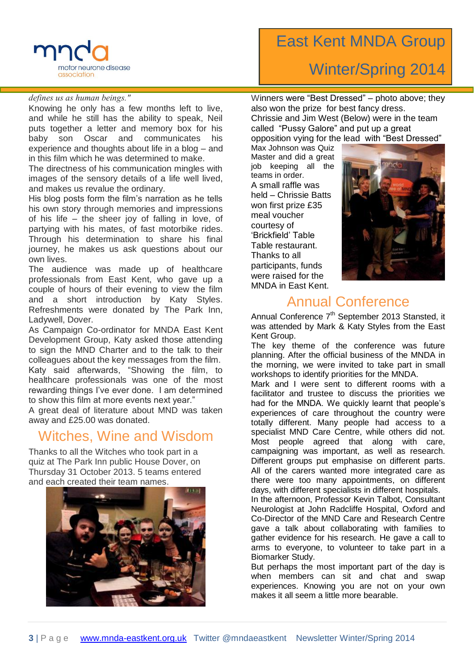

#### *defines us as human beings."*

Knowing he only has a few months left to live, and while he still has the ability to speak, Neil puts together a letter and memory box for his baby son Oscar and communicates his experience and thoughts about life in a blog – and in this film which he was determined to make.

The directness of his communication mingles with images of the sensory details of a life well lived, and makes us revalue the ordinary.

His blog posts form the film's narration as he tells his own story through memories and impressions of his life – the sheer joy of falling in love, of partying with his mates, of fast motorbike rides. Through his determination to share his final journey, he makes us ask questions about our own lives.

The audience was made up of healthcare professionals from East Kent, who gave up a couple of hours of their evening to view the film and a short introduction by Katy Styles. Refreshments were donated by The Park Inn, Ladywell, Dover.

As Campaign Co-ordinator for MNDA East Kent Development Group, Katy asked those attending to sign the MND Charter and to the talk to their colleagues about the key messages from the film. Katy said afterwards, "Showing the film, to healthcare professionals was one of the most rewarding things I've ever done. I am determined to show this film at more events next year."

A great deal of literature about MND was taken away and £25.00 was donated.

#### Witches, Wine and Wisdom

Thanks to all the Witches who took part in a quiz at The Park Inn public House Dover, on Thursday 31 October 2013. 5 teams entered and each created their team names.



# East Kent MNDA Group Winter/Spring 2014

Winners were "Best Dressed" – photo above; they also won the prize for best fancy dress. Chrissie and Jim West (Below) were in the team called "Pussy Galore" and put up a great opposition vying for the lead with "Best Dressed"

Max Johnson was Quiz Master and did a great job keeping all the teams in order. A small raffle was held – Chrissie Batts won first prize £35 meal voucher courtesy of 'Brickfield' Table Table restaurant. Thanks to all participants, funds were raised for the MNDA in East Kent.



#### Annual Conference

Annual Conference 7<sup>th</sup> September 2013 Stansted, it was attended by Mark & Katy Styles from the East Kent Group.

The key theme of the conference was future planning. After the official business of the MNDA in the morning, we were invited to take part in small workshops to identify priorities for the MNDA.

Mark and I were sent to different rooms with a facilitator and trustee to discuss the priorities we had for the MNDA. We quickly learnt that people's experiences of care throughout the country were totally different. Many people had access to a specialist MND Care Centre, while others did not. Most people agreed that along with care, campaigning was important, as well as research. Different groups put emphasise on different parts. All of the carers wanted more integrated care as there were too many appointments, on different days, with different specialists in different hospitals.

In the afternoon, Professor Kevin Talbot, Consultant Neurologist at John Radcliffe Hospital, Oxford and Co-Director of the MND Care and Research Centre gave a talk about collaborating with families to gather evidence for his research. He gave a call to arms to everyone, to volunteer to take part in a Biomarker Study.

But perhaps the most important part of the day is when members can sit and chat and swap experiences. Knowing you are not on your own makes it all seem a little more bearable.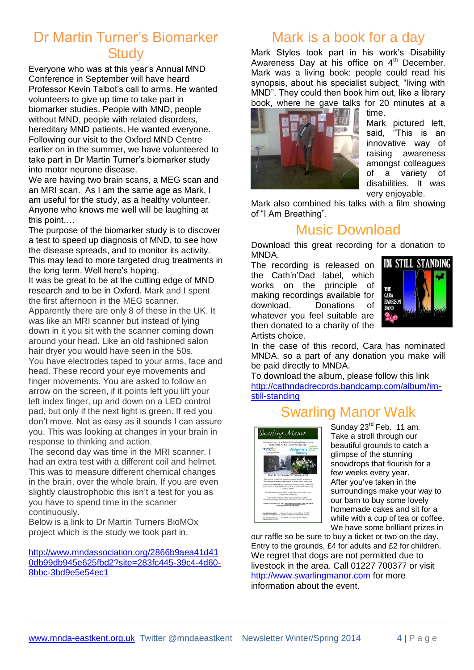#### Dr Martin Turner's Biomarker **Study**

Everyone who was at this year's Annual MND Conference in September will have heard Professor Kevin Talbot's call to arms. He wanted volunteers to give up time to take part in biomarker studies. People with MND, people without MND, people with related disorders, hereditary MND patients. He wanted everyone. Following our visit to the Oxford MND Centre earlier on in the summer, we have volunteered to take part in Dr Martin Turner's biomarker study into motor neurone disease.

We are having two brain scans, a MEG scan and an MRI scan. As I am the same age as Mark, I am useful for the study, as a healthy volunteer. Anyone who knows me well will be laughing at this point….

The purpose of the biomarker study is to discover a test to speed up diagnosis of MND, to see how the disease spreads, and to monitor its activity. This may lead to more targeted drug treatments in the long term. Well here's hoping.

It was be great to be at the cutting edge of MND research and to be in Oxford. Mark and I spent the first afternoon in the MEG scanner.

Apparently there are only 8 of these in the UK. It was like an MRI scanner but instead of lying down in it you sit with the scanner coming down around your head. Like an old fashioned salon hair dryer you would have seen in the 50s. You have electrodes taped to your arms, face and

head. These record your eye movements and finger movements. You are asked to follow an arrow on the screen, if it points left you lift your left index finger, up and down on a LED control pad, but only if the next light is green. If red you don't move. Not as easy as it sounds I can assure you. This was looking at changes in your brain in response to thinking and action.

The second day was time in the MRI scanner. I had an extra test with a different coil and helmet. This was to measure different chemical changes in the brain, over the whole brain. If you are even slightly claustrophobic this isn't a test for you as you have to spend time in the scanner continuously.

Below is a link to Dr Martin Turners BioMOx project which is the study we took part in.

[http://www.mndassociation.org/2866b9aea41d41](http://www.mndassociation.org/2866b9aea41d410db99db945e625fbd2?site=283fc445-39c4-4d60-8bbc-3bd9e5e54ec1) [0db99db945e625fbd2?site=283fc445-39c4-4d60-](http://www.mndassociation.org/2866b9aea41d410db99db945e625fbd2?site=283fc445-39c4-4d60-8bbc-3bd9e5e54ec1) [8bbc-3bd9e5e54ec1](http://www.mndassociation.org/2866b9aea41d410db99db945e625fbd2?site=283fc445-39c4-4d60-8bbc-3bd9e5e54ec1)

# Mark is a book for a day

Mark Styles took part in his work's Disability Awareness Day at his office on 4<sup>th</sup> December. Mark was a living book: people could read his synopsis, about his specialist subject, "living with MND". They could then book him out, like a library book, where he gave talks for 20 minutes at a



time. Mark pictured left, said, "This is an innovative way of raising awareness amongst colleagues of a variety of disabilities. It was very enjoyable.

Mark also combined his talks with a film showing of "I Am Breathing".

## Music Download

Download this great recording for a donation to MNDA.

The recording is released on the Cath'n'Dad label, which works on the principle of making recordings available for download. Donations of whatever you feel suitable are then donated to a charity of the Artists choice.



In the case of this record, Cara has nominated MNDA, so a part of any donation you make will be paid directly to MNDA.

To download the album, please follow this link [http://cathndadrecords.bandcamp.com/album/im](http://cathndadrecords.bandcamp.com/album/im-still-standing)[still-standing](http://cathndadrecords.bandcamp.com/album/im-still-standing)

# Swarling Manor Walk



Sunday 23<sup>rd</sup> Feb. 11 am. Take a stroll through our beautiful grounds to catch a glimpse of the stunning snowdrops that flourish for a few weeks every year. After you've taken in the surroundings make your way to our barn to buy some lovely homemade cakes and sit for a while with a cup of tea or coffee. We have some brilliant prizes in

our raffle so be sure to buy a ticket or two on the day. Entry to the grounds, £4 for adults and £2 for children. We regret that dogs are not permitted due to livestock in the area. Call 01227 700377 or visit [http://www.swarlingmanor.com](http://www.swarlingmanor.com/) for more information about the event.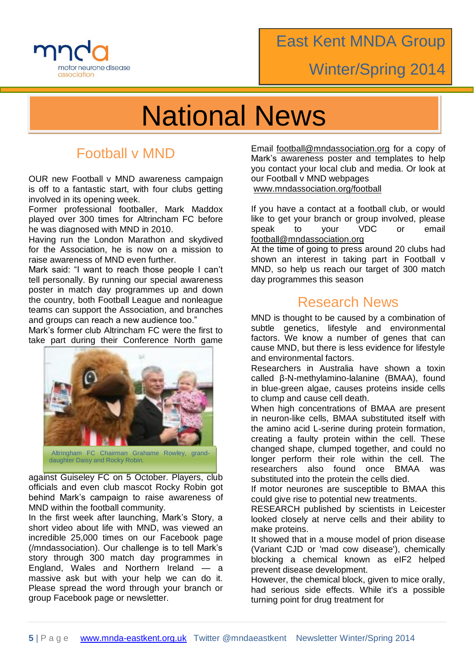

# Winter/Spring 2014

# National News

# Football v MND

OUR new Football v MND awareness campaign is off to a fantastic start, with four clubs getting involved in its opening week.

Former professional footballer, Mark Maddox played over 300 times for Altrincham FC before he was diagnosed with MND in 2010.

Having run the London Marathon and skydived for the Association, he is now on a mission to raise awareness of MND even further.

Mark said: "I want to reach those people I can't tell personally. By running our special awareness poster in match day programmes up and down the country, both Football League and nonleague teams can support the Association, and branches and groups can reach a new audience too."

Mark's former club Altrincham FC were the first to take part during their Conference North game



against Guiseley FC on 5 October. Players, club officials and even club mascot Rocky Robin got behind Mark's campaign to raise awareness of MND within the football community.

In the first week after launching, Mark's Story, a short video about life with MND, was viewed an incredible 25,000 times on our Facebook page (/mndassociation). Our challenge is to tell Mark's story through 300 match day programmes in England, Wales and Northern Ireland — a massive ask but with your help we can do it. Please spread the word through your branch or group Facebook page or newsletter.

Email [football@mndassociation.org](mailto:football@mndassociation.org) for a copy of Mark's awareness poster and templates to help you contact your local club and media. Or look at our Football v MND webpages

[www.mndassociation.org/football](http://www.mndassociation.org/football)

If you have a contact at a football club, or would like to get your branch or group involved, please speak to your VDC or email [football@mndassociation.org](mailto:football@mndassociation.org)

At the time of going to press around 20 clubs had shown an interest in taking part in Football v MND, so help us reach our target of 300 match day programmes this season

#### Research News

MND is thought to be caused by a combination of subtle genetics, lifestyle and environmental factors. We know a number of genes that can cause MND, but there is less evidence for lifestyle and environmental factors.

Researchers in Australia have shown a toxin called β-N-methylamino-lalanine (BMAA), found in blue-green algae, causes proteins inside cells to clump and cause cell death.

When high concentrations of BMAA are present in neuron-like cells, BMAA substituted itself with the amino acid L-serine during protein formation, creating a faulty protein within the cell. These changed shape, clumped together, and could no longer perform their role within the cell. The researchers also found once BMAA was substituted into the protein the cells died.

If motor neurones are susceptible to BMAA this could give rise to potential new treatments.

RESEARCH published by scientists in Leicester looked closely at nerve cells and their ability to make proteins.

It showed that in a mouse model of prion disease (Variant CJD or 'mad cow disease'), chemically blocking a chemical known as eIF2 helped prevent disease development.

However, the chemical block, given to mice orally, had serious side effects. While it's a possible turning point for drug treatment for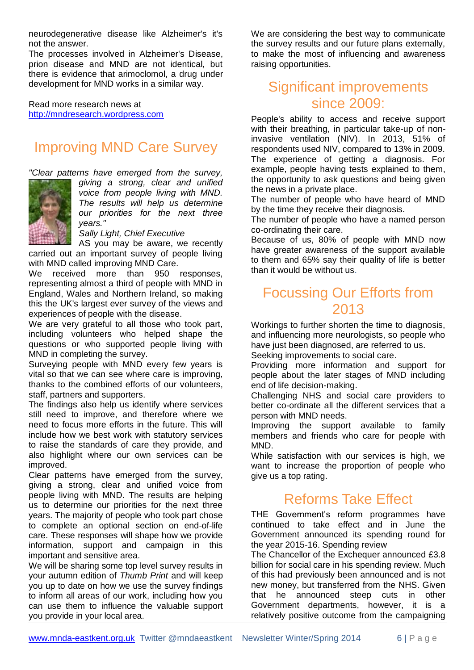neurodegenerative disease like Alzheimer's it's not the answer.

The processes involved in Alzheimer's Disease, prion disease and MND are not identical, but there is evidence that arimoclomol, a drug under development for MND works in a similar way.

Read more research news at [http://mndresearch.wordpress.com](http://mndresearch.wordpress.com/)

# Improving MND Care Survey

*"Clear patterns have emerged from the survey,* 



*giving a strong, clear and unified voice from people living with MND. The results will help us determine our priorities for the next three years."*

*Sally Light, Chief Executive*

AS you may be aware, we recently carried out an important survey of people living with MND called improving MND Care.

We received more than 950 responses, representing almost a third of people with MND in England, Wales and Northern Ireland, so making this the UK's largest ever survey of the views and experiences of people with the disease.

We are very grateful to all those who took part, including volunteers who helped shape the questions or who supported people living with MND in completing the survey.

Surveying people with MND every few years is vital so that we can see where care is improving, thanks to the combined efforts of our volunteers, staff, partners and supporters.

The findings also help us identify where services still need to improve, and therefore where we need to focus more efforts in the future. This will include how we best work with statutory services to raise the standards of care they provide, and also highlight where our own services can be improved.

Clear patterns have emerged from the survey, giving a strong, clear and unified voice from people living with MND. The results are helping us to determine our priorities for the next three years. The majority of people who took part chose to complete an optional section on end-of-life care. These responses will shape how we provide information, support and campaign in this important and sensitive area.

We will be sharing some top level survey results in your autumn edition of *Thumb Print* and will keep you up to date on how we use the survey findings to inform all areas of our work, including how you can use them to influence the valuable support you provide in your local area.

We are considering the best way to communicate the survey results and our future plans externally, to make the most of influencing and awareness raising opportunities.

#### Significant improvements since 2009:

People's ability to access and receive support with their breathing, in particular take-up of noninvasive ventilation (NIV). In 2013, 51% of respondents used NIV, compared to 13% in 2009. The experience of getting a diagnosis. For example, people having tests explained to them, the opportunity to ask questions and being given the news in a private place.

The number of people who have heard of MND by the time they receive their diagnosis.

The number of people who have a named person co-ordinating their care.

Because of us, 80% of people with MND now have greater awareness of the support available to them and 65% say their quality of life is better than it would be without us.

## Focussing Our Efforts from 2013

Workings to further shorten the time to diagnosis, and influencing more neurologists, so people who have just been diagnosed, are referred to us.

Seeking improvements to social care.

Providing more information and support for people about the later stages of MND including end of life decision-making.

Challenging NHS and social care providers to better co-ordinate all the different services that a person with MND needs.

Improving the support available to family members and friends who care for people with MND.

While satisfaction with our services is high, we want to increase the proportion of people who give us a top rating.

# Reforms Take Effect

THE Government's reform programmes have continued to take effect and in June the Government announced its spending round for the year 2015-16. Spending review

The Chancellor of the Exchequer announced £3.8 billion for social care in his spending review. Much of this had previously been announced and is not new money, but transferred from the NHS. Given that he announced steep cuts in other Government departments, however, it is a relatively positive outcome from the campaigning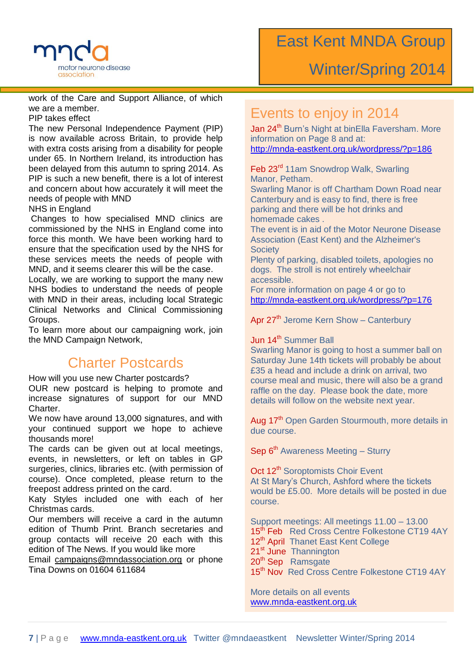

work of the Care and Support Alliance, of which we are a member.

PIP takes effect

The new Personal Independence Payment (PIP) is now available across Britain, to provide help with extra costs arising from a disability for people under 65. In Northern Ireland, its introduction has been delayed from this autumn to spring 2014. As PIP is such a new benefit, there is a lot of interest and concern about how accurately it will meet the needs of people with MND

#### NHS in England

Changes to how specialised MND clinics are commissioned by the NHS in England come into force this month. We have been working hard to ensure that the specification used by the NHS for these services meets the needs of people with MND, and it seems clearer this will be the case.

Locally, we are working to support the many new NHS bodies to understand the needs of people with MND in their areas, including local Strategic Clinical Networks and Clinical Commissioning Groups.

To learn more about our campaigning work, join the MND Campaign Network,

#### Charter Postcards

How will you use new Charter postcards? OUR new postcard is helping to promote and increase signatures of support for our MND

Charter. We now have around 13,000 signatures, and with your continued support we hope to achieve thousands more!

The cards can be given out at local meetings. events, in newsletters, or left on tables in GP surgeries, clinics, libraries etc. (with permission of course). Once completed, please return to the freepost address printed on the card.

Katy Styles included one with each of her Christmas cards.

Our members will receive a card in the autumn edition of Thumb Print. Branch secretaries and group contacts will receive 20 each with this edition of The News. If you would like more

Email [campaigns@mndassociation.org](file:///C:/Users/Clive/Documents/campaigns@mndassociation.org) or phone Tina Downs on 01604 611684

#### Events to enjoy in 2014

Jan 24<sup>th</sup> Burn's Night at binElla Faversham. More information on Page 8 and at: <http://mnda-eastkent.org.uk/wordpress/?p=186>

Feb 23<sup>rd</sup> 11am Snowdrop Walk, Swarling Manor, Petham.

Swarling Manor is off Chartham Down Road near Canterbury and is easy to find, there is free parking and there will be hot drinks and homemade cakes .

The event is in aid of the Motor Neurone Disease Association (East Kent) and the Alzheimer's **Society** 

binElla, the wine and champagne bar in accessible. Plenty of parking, disabled toilets, apologies no dogs. The stroll is not entirely wheelchair

For more information on page 4 or go to http://mnda-eastkent.org.uk/wordpress/?p=176

Apr 27<sup>th</sup> Jerome Kern Show – Canterbury

#### $\,$  Jun 14<sup>th</sup> Summer Ball be served. The served of the served.

Swarling Manor is going to host a summer ball on £35 a head and include a drink on arrival, two course meal and music, there will also be a grand raffle on the day. Please book the date, more details will follow on the website next year. Saturday June 14th tickets will probably be about

We hope to see your at binElla for cool jazz and  $\alpha$ Aug 17<sup>th</sup> Open Garden Stourmouth, more details in

Sep 6<sup>th</sup> Awareness Meeting – Sturry

Oct 12<sup>th</sup> Soroptomists Choir Event At St Mary's Church, Ashford where the tickets would be £5.00. More details will be posted in due course.

Support meetings: All meetings 11.00 – 13.00 15<sup>th</sup> Feb Red Cross Centre Folkestone CT19 4AY **21st June Thannington** and are available on a first on a first on a first on a first on a first on a first on a first on a first on a first on a first on a first on a first on a first on a first on a first on a first on a 20<sup>th</sup> Sep Ramsgate. Please telephone 01795 in the 01795 of 1795 and 01795 in the 01795 of 1795 and 01795 of 1795 15<sup>th</sup> Nov Red Cross Centre Folkestone CT19 4AY 12<sup>th</sup> April Thanet East Kent College

More details on all events [www.mnda-eastkent.org.uk](http://www.mnda-eastkent.org.uk/)